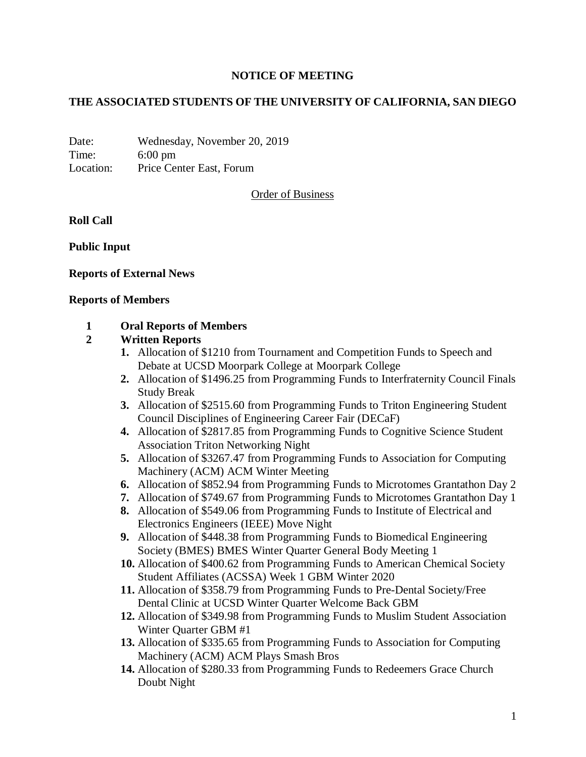#### **NOTICE OF MEETING**

#### **THE ASSOCIATED STUDENTS OF THE UNIVERSITY OF CALIFORNIA, SAN DIEGO**

Date: Wednesday, November 20, 2019 Time: 6:00 pm Location: Price Center East, Forum

Order of Business

#### **Roll Call**

**Public Input**

#### **Reports of External News**

#### **Reports of Members**

#### **1 Oral Reports of Members**

#### **2 Written Reports**

- **1.** Allocation of \$1210 from Tournament and Competition Funds to Speech and Debate at UCSD Moorpark College at Moorpark College
- **2.** Allocation of \$1496.25 from Programming Funds to Interfraternity Council Finals Study Break
- **3.** Allocation of \$2515.60 from Programming Funds to Triton Engineering Student Council Disciplines of Engineering Career Fair (DECaF)
- **4.** Allocation of \$2817.85 from Programming Funds to Cognitive Science Student Association Triton Networking Night
- **5.** Allocation of \$3267.47 from Programming Funds to Association for Computing Machinery (ACM) ACM Winter Meeting
- **6.** Allocation of \$852.94 from Programming Funds to Microtomes Grantathon Day 2
- **7.** Allocation of \$749.67 from Programming Funds to Microtomes Grantathon Day 1
- **8.** Allocation of \$549.06 from Programming Funds to Institute of Electrical and Electronics Engineers (IEEE) Move Night
- **9.** Allocation of \$448.38 from Programming Funds to Biomedical Engineering Society (BMES) BMES Winter Quarter General Body Meeting 1
- **10.** Allocation of \$400.62 from Programming Funds to American Chemical Society Student Affiliates (ACSSA) Week 1 GBM Winter 2020
- **11.** Allocation of \$358.79 from Programming Funds to Pre-Dental Society/Free Dental Clinic at UCSD Winter Quarter Welcome Back GBM
- **12.** Allocation of \$349.98 from Programming Funds to Muslim Student Association Winter Quarter GBM #1
- **13.** Allocation of \$335.65 from Programming Funds to Association for Computing Machinery (ACM) ACM Plays Smash Bros
- **14.** Allocation of \$280.33 from Programming Funds to Redeemers Grace Church Doubt Night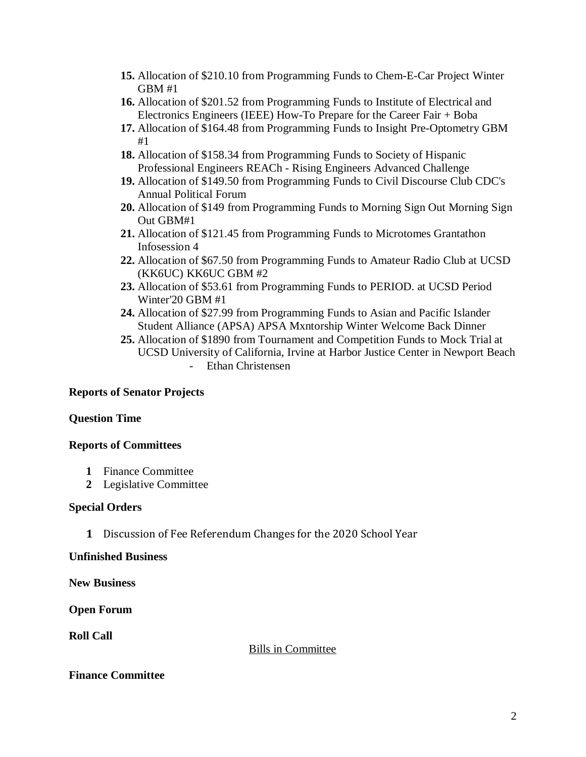- **15.** Allocation of \$210.10 from Programming Funds to Chem-E-Car Project Winter GBM #1
- **16.** Allocation of \$201.52 from Programming Funds to Institute of Electrical and Electronics Engineers (IEEE) How-To Prepare for the Career Fair + Boba
- **17.** Allocation of \$164.48 from Programming Funds to Insight Pre-Optometry GBM #1
- **18.** Allocation of \$158.34 from Programming Funds to Society of Hispanic Professional Engineers REACh - Rising Engineers Advanced Challenge
- **19.** Allocation of \$149.50 from Programming Funds to Civil Discourse Club CDC's Annual Political Forum
- **20.** Allocation of \$149 from Programming Funds to Morning Sign Out Morning Sign Out GBM#1
- **21.** Allocation of \$121.45 from Programming Funds to Microtomes Grantathon Infosession 4
- **22.** Allocation of \$67.50 from Programming Funds to Amateur Radio Club at UCSD (KK6UC) KK6UC GBM #2
- **23.** Allocation of \$53.61 from Programming Funds to PERIOD. at UCSD Period Winter'20 GBM #1
- **24.** Allocation of \$27.99 from Programming Funds to Asian and Pacific Islander Student Alliance (APSA) APSA Mxntorship Winter Welcome Back Dinner
- **25.** Allocation of \$1890 from Tournament and Competition Funds to Mock Trial at UCSD University of California, Irvine at Harbor Justice Center in Newport Beach - Ethan Christensen

# **Reports of Senator Projects**

# **Question Time**

# **Reports of Committees**

- **1** Finance Committee
- **2** Legislative Committee

# **Special Orders**

**1** Discussion of Fee Referendum Changes for the 2020 School Year

# **Unfinished Business**

**New Business**

# **Open Forum**

**Roll Call**

Bills in Committee

# **Finance Committee**